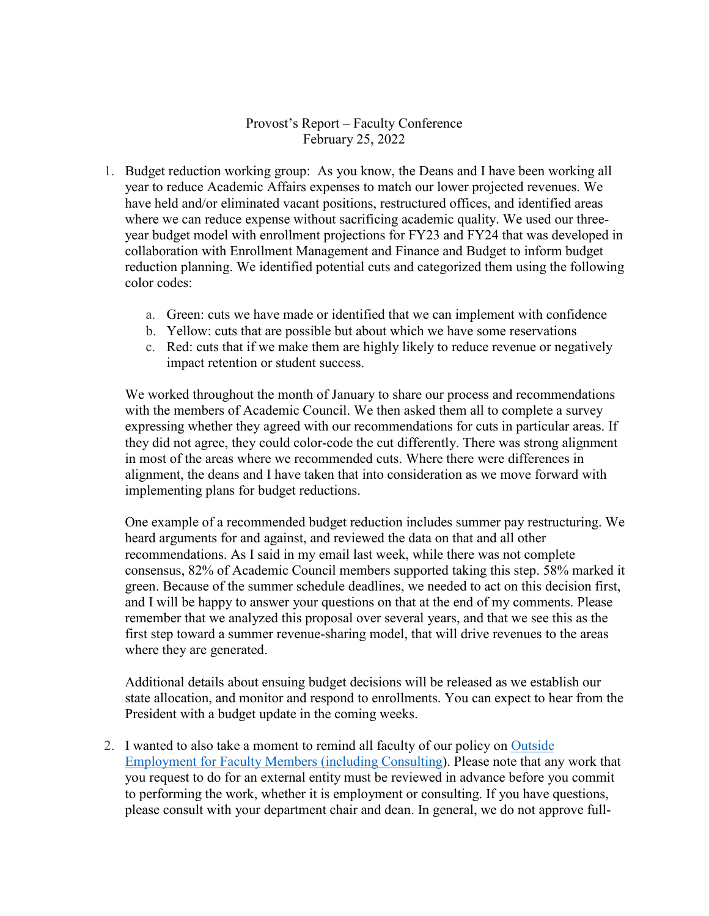## Provost's Report – Faculty Conference February 25, 2022

- 1. Budget reduction working group: As you know, the Deans and I have been working all year to reduce Academic Affairs expenses to match our lower projected revenues. We have held and/or eliminated vacant positions, restructured offices, and identified areas where we can reduce expense without sacrificing academic quality. We used our threeyear budget model with enrollment projections for FY23 and FY24 that was developed in collaboration with Enrollment Management and Finance and Budget to inform budget reduction planning. We identified potential cuts and categorized them using the following color codes:
	- a. Green: cuts we have made or identified that we can implement with confidence
	- b. Yellow: cuts that are possible but about which we have some reservations
	- c. Red: cuts that if we make them are highly likely to reduce revenue or negatively impact retention or student success.

We worked throughout the month of January to share our process and recommendations with the members of Academic Council. We then asked them all to complete a survey expressing whether they agreed with our recommendations for cuts in particular areas. If they did not agree, they could color-code the cut differently. There was strong alignment in most of the areas where we recommended cuts. Where there were differences in alignment, the deans and I have taken that into consideration as we move forward with implementing plans for budget reductions.

One example of a recommended budget reduction includes summer pay restructuring. We heard arguments for and against, and reviewed the data on that and all other recommendations. As I said in my email last week, while there was not complete consensus, 82% of Academic Council members supported taking this step. 58% marked it green. Because of the summer schedule deadlines, we needed to act on this decision first, and I will be happy to answer your questions on that at the end of my comments. Please remember that we analyzed this proposal over several years, and that we see this as the first step toward a summer revenue-sharing model, that will drive revenues to the areas where they are generated.

Additional details about ensuing budget decisions will be released as we establish our state allocation, and monitor and respond to enrollments. You can expect to hear from the President with a budget update in the coming weeks.

2. I wanted to also take a moment to remind all faculty of our policy on [Outside](https://apps.winthrop.edu/policyrepository/Policy/FullPolicy?PID=262) [Employment](https://apps.winthrop.edu/policyrepository/Policy/FullPolicy?PID=262) for Faculty Members (including Consulting). Please note that any work that you request to do for an external entity must be reviewed in advance before you commit to performing the work, whether it is employment or consulting. If you have questions, please consult with your department chair and dean. In general, we do not approve full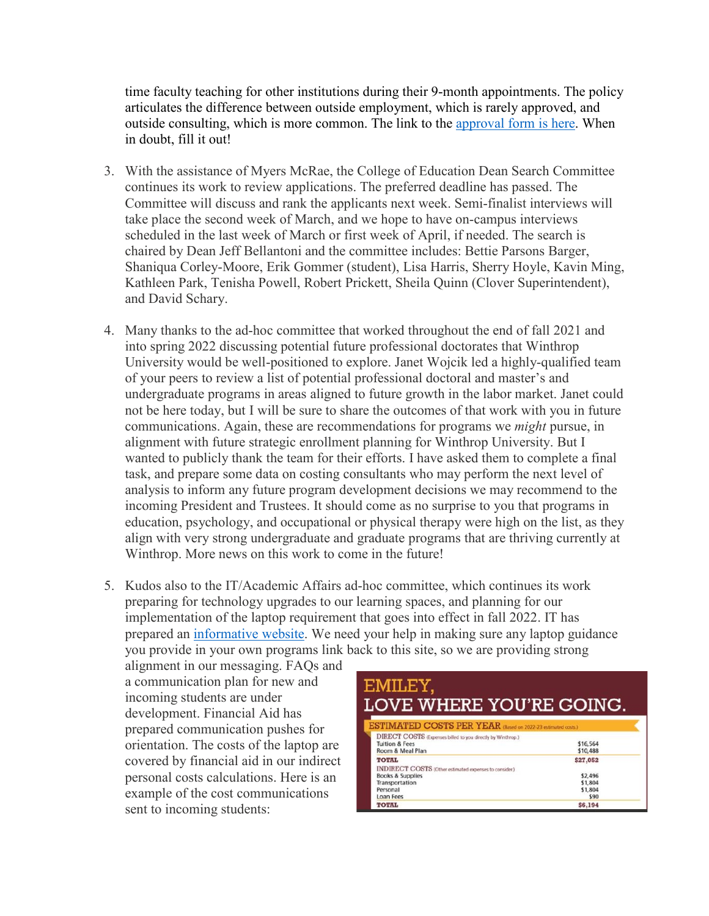time faculty teaching for other institutions during their 9-month appointments. The policy articulates the difference between outside employment, which is rarely approved, and outside consulting, which is more common. The link to the [approval](https://www.winthrop.edu/uploadedFiles/academics/ConsultingOutsideEmployment.pdf) form is here. When in doubt, fill it out!

- 3. With the assistance of Myers McRae, the College of Education Dean Search Committee continues its work to review applications. The preferred deadline has passed. The Committee will discuss and rank the applicants next week. Semi-finalist interviews will take place the second week of March, and we hope to have on-campus interviews scheduled in the last week of March or first week of April, if needed. The search is chaired by Dean Jeff Bellantoni and the committee includes: Bettie Parsons Barger, Shaniqua Corley-Moore, Erik Gommer (student), Lisa Harris, Sherry Hoyle, Kavin Ming, Kathleen Park, Tenisha Powell, Robert Prickett, Sheila Quinn (Clover Superintendent), and David Schary.
- 4. Many thanks to the ad-hoc committee that worked throughout the end of fall 2021 and into spring 2022 discussing potential future professional doctorates that Winthrop University would be well-positioned to explore. Janet Wojcik led a highly-qualified team of your peers to review a list of potential professional doctoral and master's and undergraduate programs in areas aligned to future growth in the labor market. Janet could not be here today, but I will be sure to share the outcomes of that work with you in future communications. Again, these are recommendations for programs we *might* pursue, in alignment with future strategic enrollment planning for Winthrop University. But I wanted to publicly thank the team for their efforts. I have asked them to complete a final task, and prepare some data on costing consultants who may perform the next level of analysis to inform any future program development decisions we may recommend to the incoming President and Trustees. It should come as no surprise to you that programs in education, psychology, and occupational or physical therapy were high on the list, as they align with very strong undergraduate and graduate programs that are thriving currently at Winthrop. More news on this work to come in the future!
- 5. Kudos also to the IT/Academic Affairs ad-hoc committee, which continues its work preparing for technology upgrades to our learning spaces, and planning for our implementation of the laptop requirement that goes into effect in fall 2022. IT has prepared an [informative website.](https://www.winthrop.edu/technology/student-laptops.aspx) We need your help in making sure any laptop guidance you provide in your own programs link back to this site, so we are providing strong

alignment in our messaging. FAQs and a communication plan for new and incoming students are under development. Financial Aid has prepared communication pushes for orientation. The costs of the laptop are covered by financial aid in our indirect personal costs calculations. Here is an example of the cost communications sent to incoming students:

| EMILEY,<br><b>LOVE WHERE YOU'RE GOING.</b><br>ESTIMATED COSTS PER YEAR (Based on 2022-23 estimated costs.)                                              |                                                   |
|---------------------------------------------------------------------------------------------------------------------------------------------------------|---------------------------------------------------|
|                                                                                                                                                         |                                                   |
| <b>TOTAL</b><br><b>INDIRECT COSTS</b> (Other estimated expenses to consider.)<br><b>Books &amp; Supplies</b><br>Transportation<br>Personal<br>Loan Fees | \$27,052<br>\$2,496<br>\$1,804<br>\$1,804<br>\$90 |
| <b>TOTAL</b>                                                                                                                                            | \$6,194                                           |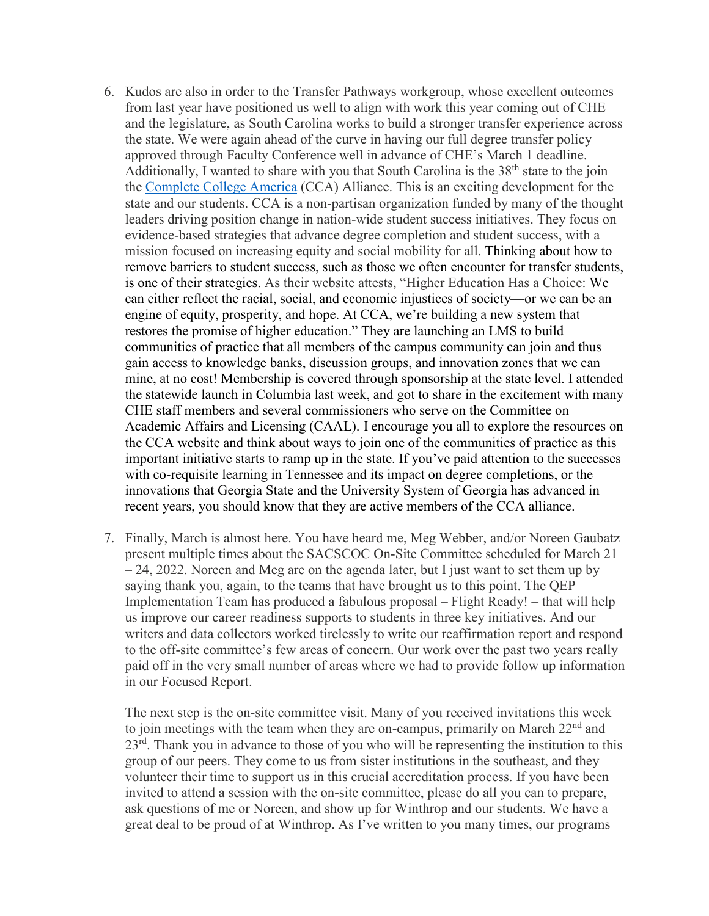- 6. Kudos are also in order to the Transfer Pathways workgroup, whose excellent outcomes from last year have positioned us well to align with work this year coming out of CHE and the legislature, as South Carolina works to build a stronger transfer experience across the state. We were again ahead of the curve in having our full degree transfer policy approved through Faculty Conference well in advance of CHE's March 1 deadline. Additionally, I wanted to share with you that South Carolina is the  $38<sup>th</sup>$  state to the join the [Complete College America](https://completecollege.org/) (CCA) Alliance. This is an exciting development for the state and our students. CCA is a non-partisan organization funded by many of the thought leaders driving position change in nation-wide student success initiatives. They focus on evidence-based strategies that advance degree completion and student success, with a mission focused on increasing equity and social mobility for all. Thinking about how to remove barriers to student success, such as those we often encounter for transfer students, is one of their strategies. As their website attests, "Higher Education Has a Choice: We can either reflect the racial, social, and economic injustices of society—or we can be an engine of equity, prosperity, and hope. At CCA, we're building a new system that restores the promise of higher education." They are launching an LMS to build communities of practice that all members of the campus community can join and thus gain access to knowledge banks, discussion groups, and innovation zones that we can mine, at no cost! Membership is covered through sponsorship at the state level. I attended the statewide launch in Columbia last week, and got to share in the excitement with many CHE staff members and several commissioners who serve on the Committee on Academic Affairs and Licensing (CAAL). I encourage you all to explore the resources on the CCA website and think about ways to join one of the communities of practice as this important initiative starts to ramp up in the state. If you've paid attention to the successes with co-requisite learning in Tennessee and its impact on degree completions, or the innovations that Georgia State and the University System of Georgia has advanced in recent years, you should know that they are active members of the CCA alliance.
- 7. Finally, March is almost here. You have heard me, Meg Webber, and/or Noreen Gaubatz present multiple times about the SACSCOC On-Site Committee scheduled for March 21  $-24$ , 2022. Noreen and Meg are on the agenda later, but I just want to set them up by saying thank you, again, to the teams that have brought us to this point. The QEP Implementation Team has produced a fabulous proposal – Flight Ready! – that will help us improve our career readiness supports to students in three key initiatives. And our writers and data collectors worked tirelessly to write our reaffirmation report and respond to the off-site committee's few areas of concern. Our work over the past two years really paid off in the very small number of areas where we had to provide follow up information in our Focused Report.

The next step is the on-site committee visit. Many of you received invitations this week to join meetings with the team when they are on-campus, primarily on March 22<sup>nd</sup> and  $23<sup>rd</sup>$ . Thank you in advance to those of you who will be representing the institution to this group of our peers. They come to us from sister institutions in the southeast, and they volunteer their time to support us in this crucial accreditation process. If you have been invited to attend a session with the on-site committee, please do all you can to prepare, ask questions of me or Noreen, and show up for Winthrop and our students. We have a great deal to be proud of at Winthrop. As I've written to you many times, our programs